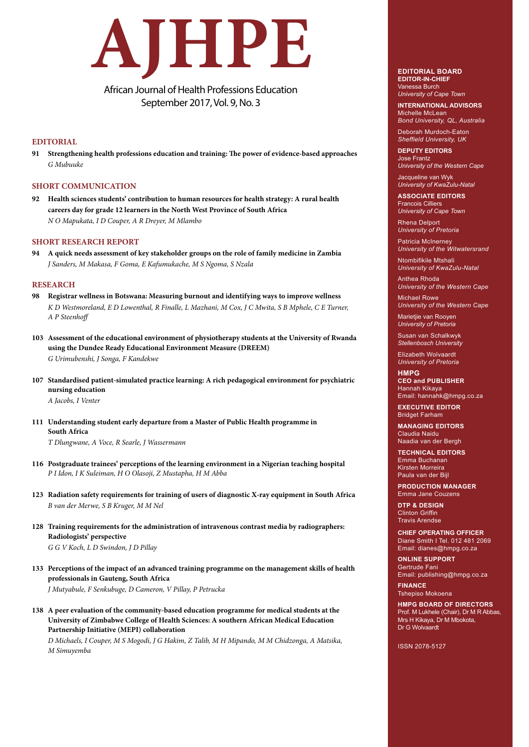# **AJHPE**

# African Journal of Health Professions Education September 2017, Vol. 9, No. 3

## **EDITORIAL**

**91 Strengthening health professions education and training: The power of evidence-based approaches**  *G Mubuuke*

### **SHORT COMMUNICATION**

**92 Health sciences students' contribution to human resources for health strategy: A rural health careers day for grade 12 learners in the North West Province of South Africa** *N O Mapukata, I D Couper, A R Dreyer, M Mlambo*

### **SHORT RESEARCH REPORT**

**94 A quick needs assessment of key stakeholder groups on the role of family medicine in Zambia** *J Sanders, M Makasa, F Goma, E Kafumukache, M S Ngoma, S Nzala*

### **RESEARCH**

- **98 Registrar wellness in Botswana: Measuring burnout and identifying ways to improve wellness**   *K D Westmoreland, E D Lowenthal, R Finalle, L Mazhani, M Cox, J C Mwita, S B Mphele, C E Turner, A P Steenhoff*
- **103 Assessment of the educational environment of physiotherapy students at the University of Rwanda using the Dundee Ready Educational Environment Measure (DREEM)** *G Urimubenshi, J Songa, F Kandekwe*
- **107 Standardised patient-simulated practice learning: A rich pedagogical environment for psychiatric nursing education** *A Jacobs, I Venter*
- **111 Understanding student early departure from a Master of Public Health programme in South Africa**

*T Dlungwane, A Voce, R Searle, J Wassermann*

- **116 Postgraduate trainees' perceptions of the learning environment in a Nigerian teaching hospital**  *P I Idon, I K Suleiman, H O Olasoji, Z Mustapha, H M Abba*
- **123 Radiation safety requirements for training of users of diagnostic X-ray equipment in South Africa** *B van der Merwe, S B Kruger, M M Nel*
- **128 Training requirements for the administration of intravenous contrast media by radiographers: Radiologists' perspective**  *G G V Koch, L D Swindon, J D Pillay*
- **133 Perceptions of the impact of an advanced training programme on the management skills of health professionals in Gauteng, South Africa** *J Mutyabule, F Senkubuge, D Cameron, V Pillay, P Petrucka*
- **138 A peer evaluation of the community-based education programme for medical students at the University of Zimbabwe College of Health Sciences: A southern African Medical Education Partnership Initiative (MEPI) collaboration**

 *D Michaels, I Couper, M S Mogodi, J G Hakim, Z Talib, M H Mipando, M M Chidzonga, A Matsika, M Simuyemba*

### **EDITORIAL BOARD EDITOR-IN-CHIEF** Vanessa Burch

*University of Cape Town*

**INTERNATIONAL ADVISORS** Michelle McLean *Bond University, QL, Australia*

Deborah Murdoch-Eaton *Sheffield University, UK*

**DEPUTY EDITORS** Jose Frantz *University of the Western Cape*

Jacqueline van Wyk *University of KwaZulu-Natal*

**ASSOCIATE EDITORS** Francois Cilliers *University of Cape Town*

Rhena Delport *University of Pretoria*

Patricia McInerney *University of the Witwatersrand*

Ntombifikile Mtshali *University of KwaZulu-Natal*

Anthea Rhoda *University of the Western Cape*

Michael Rowe *University of the Western Cape*

Marietjie van Rooyen *University of Pretoria*

Susan van Schalkwyk *Stellenbosch University* 

Elizabeth Wolvaardt *University of Pretoria*

**HMPG CEO and PUBLISHER** Hannah Kikaya Email: hannahk@hmpg.co.za

**EXECUTIVE EDITOR** Bridget Farham

**MANAGING EDITORS** Claudia Naidu Naadia van der Bergh

**TECHNICAL EDITORS** Emma Buchanan Kirsten Morreira Paula van der Bijl

**PRODUCTION MANAGER**  Emma Jane Couzens

**DTP & DESIGN**  Clinton Griffin Travis Arendse

**CHIEF OPERATING OFFICER** Diane Smith I Tel. 012 481 2069 Email: dianes@hmpg.co.za

**ONLINE SUPPORT** Gertrude Fani Email: publishing@hmpg.co.za

**FINANCE** Tshepiso Mokoena

**HMPG BOARD OF DIRECTORS** Prof. M Lukhele (Chair), Dr M R Abbas, Mrs H Kikaya, Dr M Mbokota, Dr G Wolvaardt

ISSN 2078-5127